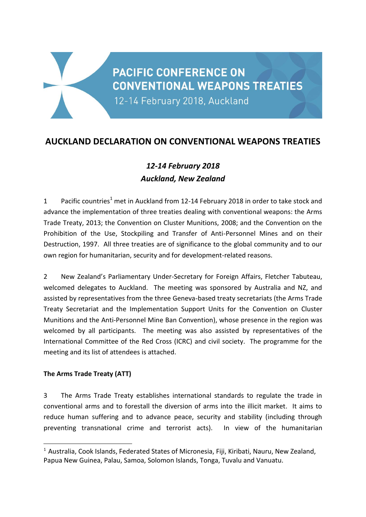# **PACIFIC CONFERENCE ON CONVENTIONAL WEAPONS TREATIES**

12-14 February 2018, Auckland

# **AUCKLAND DECLARATION ON CONVENTIONAL WEAPONS TREATIES**

# *12-14 February 2018 Auckland, New Zealand*

1 Pacific countries<sup>1</sup> met in Auckland from 12-14 February 2018 in order to take stock and advance the implementation of three treaties dealing with conventional weapons: the Arms Trade Treaty, 2013; the Convention on Cluster Munitions, 2008; and the Convention on the Prohibition of the Use, Stockpiling and Transfer of Anti-Personnel Mines and on their Destruction, 1997. All three treaties are of significance to the global community and to our own region for humanitarian, security and for development-related reasons.

2 New Zealand's Parliamentary Under-Secretary for Foreign Affairs, Fletcher Tabuteau, welcomed delegates to Auckland. The meeting was sponsored by Australia and NZ, and assisted by representatives from the three Geneva-based treaty secretariats (the Arms Trade Treaty Secretariat and the Implementation Support Units for the Convention on Cluster Munitions and the Anti-Personnel Mine Ban Convention), whose presence in the region was welcomed by all participants. The meeting was also assisted by representatives of the International Committee of the Red Cross (ICRC) and civil society. The programme for the meeting and its list of attendees is attached.

## **The Arms Trade Treaty (ATT)**

1

3 The Arms Trade Treaty establishes international standards to regulate the trade in conventional arms and to forestall the diversion of arms into the illicit market. It aims to reduce human suffering and to advance peace, security and stability (including through preventing transnational crime and terrorist acts). In view of the humanitarian

 $1$  Australia, Cook Islands, Federated States of Micronesia, Fiji, Kiribati, Nauru, New Zealand, Papua New Guinea, Palau, Samoa, Solomon Islands, Tonga, Tuvalu and Vanuatu.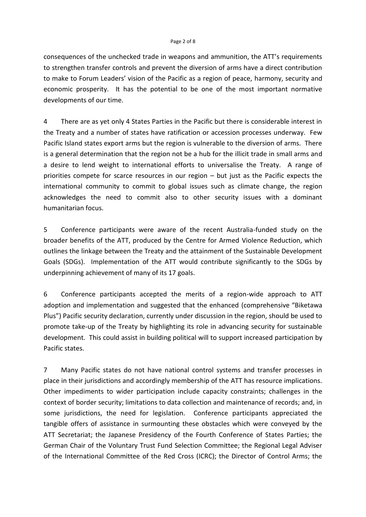#### Page 2 of 8

consequences of the unchecked trade in weapons and ammunition, the ATT's requirements to strengthen transfer controls and prevent the diversion of arms have a direct contribution to make to Forum Leaders' vision of the Pacific as a region of peace, harmony, security and economic prosperity. It has the potential to be one of the most important normative developments of our time.

4 There are as yet only 4 States Parties in the Pacific but there is considerable interest in the Treaty and a number of states have ratification or accession processes underway. Few Pacific Island states export arms but the region is vulnerable to the diversion of arms. There is a general determination that the region not be a hub for the illicit trade in small arms and a desire to lend weight to international efforts to universalise the Treaty. A range of priorities compete for scarce resources in our region – but just as the Pacific expects the international community to commit to global issues such as climate change, the region acknowledges the need to commit also to other security issues with a dominant humanitarian focus.

5 Conference participants were aware of the recent Australia-funded study on the broader benefits of the ATT, produced by the Centre for Armed Violence Reduction, which outlines the linkage between the Treaty and the attainment of the Sustainable Development Goals (SDGs). Implementation of the ATT would contribute significantly to the SDGs by underpinning achievement of many of its 17 goals.

6 Conference participants accepted the merits of a region-wide approach to ATT adoption and implementation and suggested that the enhanced (comprehensive "Biketawa Plus") Pacific security declaration, currently under discussion in the region, should be used to promote take-up of the Treaty by highlighting its role in advancing security for sustainable development. This could assist in building political will to support increased participation by Pacific states.

7 Many Pacific states do not have national control systems and transfer processes in place in their jurisdictions and accordingly membership of the ATT has resource implications. Other impediments to wider participation include capacity constraints; challenges in the context of border security; limitations to data collection and maintenance of records; and, in some jurisdictions, the need for legislation. Conference participants appreciated the tangible offers of assistance in surmounting these obstacles which were conveyed by the ATT Secretariat; the Japanese Presidency of the Fourth Conference of States Parties; the German Chair of the Voluntary Trust Fund Selection Committee; the Regional Legal Adviser of the International Committee of the Red Cross (ICRC); the Director of Control Arms; the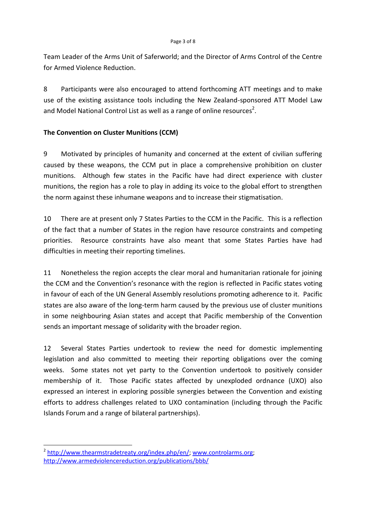Team Leader of the Arms Unit of Saferworld; and the Director of Arms Control of the Centre for Armed Violence Reduction.

8 Participants were also encouraged to attend forthcoming ATT meetings and to make use of the existing assistance tools including the New Zealand-sponsored ATT Model Law and Model National Control List as well as a range of online resources<sup>2</sup>.

## **The Convention on Cluster Munitions (CCM)**

9 Motivated by principles of humanity and concerned at the extent of civilian suffering caused by these weapons, the CCM put in place a comprehensive prohibition on cluster munitions. Although few states in the Pacific have had direct experience with cluster munitions, the region has a role to play in adding its voice to the global effort to strengthen the norm against these inhumane weapons and to increase their stigmatisation.

10 There are at present only 7 States Parties to the CCM in the Pacific. This is a reflection of the fact that a number of States in the region have resource constraints and competing priorities. Resource constraints have also meant that some States Parties have had difficulties in meeting their reporting timelines.

11 Nonetheless the region accepts the clear moral and humanitarian rationale for joining the CCM and the Convention's resonance with the region is reflected in Pacific states voting in favour of each of the UN General Assembly resolutions promoting adherence to it. Pacific states are also aware of the long-term harm caused by the previous use of cluster munitions in some neighbouring Asian states and accept that Pacific membership of the Convention sends an important message of solidarity with the broader region.

12 Several States Parties undertook to review the need for domestic implementing legislation and also committed to meeting their reporting obligations over the coming weeks. Some states not yet party to the Convention undertook to positively consider membership of it. Those Pacific states affected by unexploded ordnance (UXO) also expressed an interest in exploring possible synergies between the Convention and existing efforts to address challenges related to UXO contamination (including through the Pacific Islands Forum and a range of bilateral partnerships).

<sup>&</sup>lt;sup>2</sup> [http://www.thearmstradetreaty.org/index.php/en/;](http://www.thearmstradetreaty.org/index.php/en/) [www.controlarms.org;](http://www.controlarms.org/) <http://www.armedviolencereduction.org/publications/bbb/>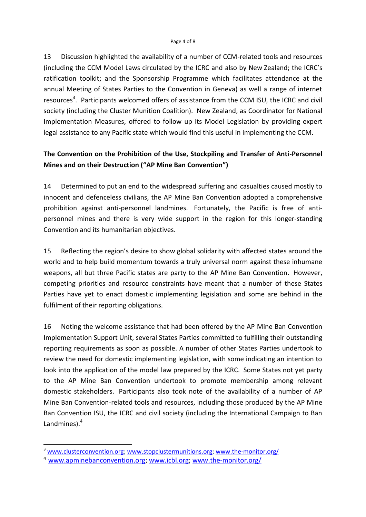13 Discussion highlighted the availability of a number of CCM-related tools and resources (including the CCM Model Laws circulated by the ICRC and also by New Zealand; the ICRC's ratification toolkit; and the Sponsorship Programme which facilitates attendance at the annual Meeting of States Parties to the Convention in Geneva) as well a range of internet resources<sup>3</sup>. Participants welcomed offers of assistance from the CCM ISU, the ICRC and civil society (including the Cluster Munition Coalition). New Zealand, as Coordinator for National Implementation Measures, offered to follow up its Model Legislation by providing expert legal assistance to any Pacific state which would find this useful in implementing the CCM.

## **The Convention on the Prohibition of the Use, Stockpiling and Transfer of Anti-Personnel Mines and on their Destruction ("AP Mine Ban Convention")**

14 Determined to put an end to the widespread suffering and casualties caused mostly to innocent and defenceless civilians, the AP Mine Ban Convention adopted a comprehensive prohibition against anti-personnel landmines. Fortunately, the Pacific is free of antipersonnel mines and there is very wide support in the region for this longer-standing Convention and its humanitarian objectives.

15 Reflecting the region's desire to show global solidarity with affected states around the world and to help build momentum towards a truly universal norm against these inhumane weapons, all but three Pacific states are party to the AP Mine Ban Convention. However, competing priorities and resource constraints have meant that a number of these States Parties have yet to enact domestic implementing legislation and some are behind in the fulfilment of their reporting obligations.

16 Noting the welcome assistance that had been offered by the AP Mine Ban Convention Implementation Support Unit, several States Parties committed to fulfilling their outstanding reporting requirements as soon as possible. A number of other States Parties undertook to review the need for domestic implementing legislation, with some indicating an intention to look into the application of the model law prepared by the ICRC. Some States not yet party to the AP Mine Ban Convention undertook to promote membership among relevant domestic stakeholders. Participants also took note of the availability of a number of AP Mine Ban Convention-related tools and resources, including those produced by the AP Mine Ban Convention ISU, the ICRC and civil society (including the International Campaign to Ban Landmines).<sup>4</sup>

1

<sup>&</sup>lt;sup>3</sup> [www.clusterconvention.org;](http://www.clusterconvention.org/) [www.stopclustermunitions.org;](http://www.stopclustermunitions.org/) [www.the-monitor.org/](http://www.the-monitor.org/)

[www.apminebanconvention.org;](http://www.apminebanconvention.org/) [www.icbl.org;](http://www.icbl.org/) [www.the-monitor.org/](http://www.the-monitor.org/)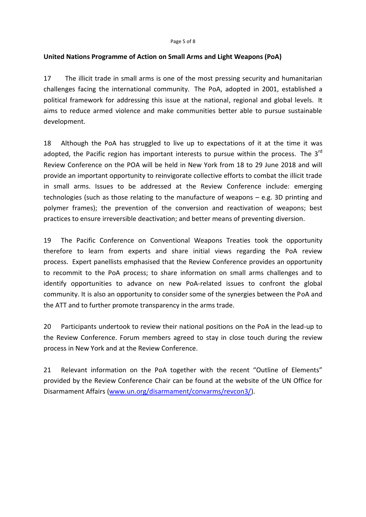#### **United Nations Programme of Action on Small Arms and Light Weapons (PoA)**

17 The illicit trade in small arms is one of the most pressing security and humanitarian challenges facing the international community. The PoA, adopted in 2001, established a political framework for addressing this issue at the national, regional and global levels. It aims to reduce armed violence and make communities better able to pursue sustainable development.

18 Although the PoA has struggled to live up to expectations of it at the time it was adopted, the Pacific region has important interests to pursue within the process. The 3<sup>rd</sup> Review Conference on the POA will be held in New York from 18 to 29 June 2018 and will provide an important opportunity to reinvigorate collective efforts to combat the illicit trade in small arms. Issues to be addressed at the Review Conference include: emerging technologies (such as those relating to the manufacture of weapons – e.g. 3D printing and polymer frames); the prevention of the conversion and reactivation of weapons; best practices to ensure irreversible deactivation; and better means of preventing diversion.

19 The Pacific Conference on Conventional Weapons Treaties took the opportunity therefore to learn from experts and share initial views regarding the PoA review process. Expert panellists emphasised that the Review Conference provides an opportunity to recommit to the PoA process; to share information on small arms challenges and to identify opportunities to advance on new PoA-related issues to confront the global community. It is also an opportunity to consider some of the synergies between the PoA and the ATT and to further promote transparency in the arms trade.

20 Participants undertook to review their national positions on the PoA in the lead-up to the Review Conference. Forum members agreed to stay in close touch during the review process in New York and at the Review Conference.

21 Relevant information on the PoA together with the recent "Outline of Elements" provided by the Review Conference Chair can be found at the website of the UN Office for Disarmament Affairs [\(www.un.org/disarmament/convarms/revcon3/\)](http://www.un.org/disarmament/convarms/revcon3/).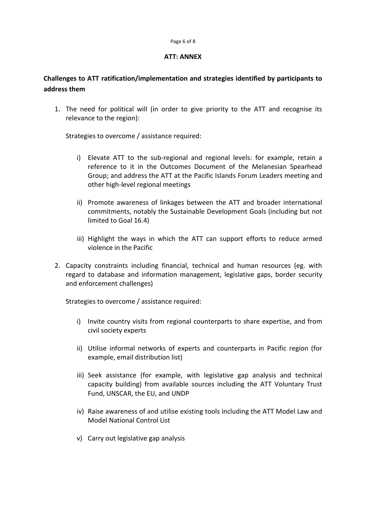#### Page 6 of 8

#### **ATT: ANNEX**

## **Challenges to ATT ratification/implementation and strategies identified by participants to address them**

1. The need for political will (in order to give priority to the ATT and recognise its relevance to the region):

Strategies to overcome / assistance required:

- i) Elevate ATT to the sub-regional and regional levels: for example, retain a reference to it in the Outcomes Document of the Melanesian Spearhead Group; and address the ATT at the Pacific Islands Forum Leaders meeting and other high-level regional meetings
- ii) Promote awareness of linkages between the ATT and broader international commitments, notably the Sustainable Development Goals (including but not limited to Goal 16.4)
- iii) Highlight the ways in which the ATT can support efforts to reduce armed violence in the Pacific
- 2. Capacity constraints including financial, technical and human resources (eg. with regard to database and information management, legislative gaps, border security and enforcement challenges)

Strategies to overcome / assistance required:

- i) Invite country visits from regional counterparts to share expertise, and from civil society experts
- ii) Utilise informal networks of experts and counterparts in Pacific region (for example, email distribution list)
- iii) Seek assistance (for example, with legislative gap analysis and technical capacity building) from available sources including the ATT Voluntary Trust Fund, UNSCAR, the EU, and UNDP
- iv) Raise awareness of and utilise existing tools including the ATT Model Law and Model National Control List
- v) Carry out legislative gap analysis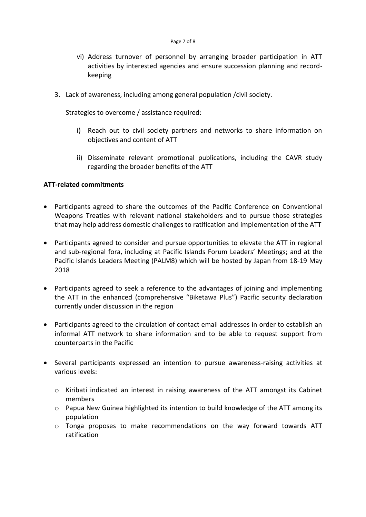- vi) Address turnover of personnel by arranging broader participation in ATT activities by interested agencies and ensure succession planning and recordkeeping
- 3. Lack of awareness, including among general population /civil society.

Strategies to overcome / assistance required:

- i) Reach out to civil society partners and networks to share information on objectives and content of ATT
- ii) Disseminate relevant promotional publications, including the CAVR study regarding the broader benefits of the ATT

#### **ATT-related commitments**

- Participants agreed to share the outcomes of the Pacific Conference on Conventional Weapons Treaties with relevant national stakeholders and to pursue those strategies that may help address domestic challenges to ratification and implementation of the ATT
- Participants agreed to consider and pursue opportunities to elevate the ATT in regional and sub-regional fora, including at Pacific Islands Forum Leaders' Meetings; and at the Pacific Islands Leaders Meeting (PALM8) which will be hosted by Japan from 18-19 May 2018
- Participants agreed to seek a reference to the advantages of joining and implementing the ATT in the enhanced (comprehensive "Biketawa Plus") Pacific security declaration currently under discussion in the region
- Participants agreed to the circulation of contact email addresses in order to establish an informal ATT network to share information and to be able to request support from counterparts in the Pacific
- Several participants expressed an intention to pursue awareness-raising activities at various levels:
	- o Kiribati indicated an interest in raising awareness of the ATT amongst its Cabinet members
	- $\circ$  Papua New Guinea highlighted its intention to build knowledge of the ATT among its population
	- o Tonga proposes to make recommendations on the way forward towards ATT ratification